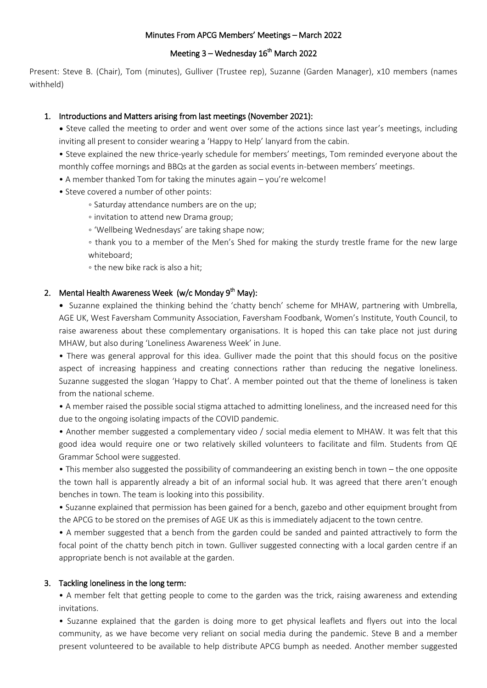### Minutes From APCG Members' Meetings – March 2022

# Meeting 3 – Wednesday 16<sup>th</sup> March 2022

Present: Steve B. (Chair), Tom (minutes), Gulliver (Trustee rep), Suzanne (Garden Manager), x10 members (names withheld)

### 1. Introductions and Matters arising from last meetings (November 2021):

• Steve called the meeting to order and went over some of the actions since last year's meetings, including inviting all present to consider wearing a 'Happy to Help' lanyard from the cabin.

• Steve explained the new thrice-yearly schedule for members' meetings, Tom reminded everyone about the monthly coffee mornings and BBQs at the garden as social events in-between members' meetings.

- A member thanked Tom for taking the minutes again you're welcome!
- Steve covered a number of other points:
	- Saturday attendance numbers are on the up;
	- invitation to attend new Drama group;
	- 'Wellbeing Wednesdays' are taking shape now;

◦ thank you to a member of the Men's Shed for making the sturdy trestle frame for the new large whiteboard;

◦ the new bike rack is also a hit;

# 2. Mental Health Awareness Week (w/c Monday 9<sup>th</sup> May):

• Suzanne explained the thinking behind the 'chatty bench' scheme for MHAW, partnering with Umbrella, AGE UK, West Faversham Community Association, Faversham Foodbank, Women's Institute, Youth Council, to raise awareness about these complementary organisations. It is hoped this can take place not just during MHAW, but also during 'Loneliness Awareness Week' in June.

• There was general approval for this idea. Gulliver made the point that this should focus on the positive aspect of increasing happiness and creating connections rather than reducing the negative loneliness. Suzanne suggested the slogan 'Happy to Chat'. A member pointed out that the theme of loneliness is taken from the national scheme.

• A member raised the possible social stigma attached to admitting loneliness, and the increased need for this due to the ongoing isolating impacts of the COVID pandemic.

• Another member suggested a complementary video / social media element to MHAW. It was felt that this good idea would require one or two relatively skilled volunteers to facilitate and film. Students from QE Grammar School were suggested.

• This member also suggested the possibility of commandeering an existing bench in town – the one opposite the town hall is apparently already a bit of an informal social hub. It was agreed that there aren't enough benches in town. The team is looking into this possibility.

• Suzanne explained that permission has been gained for a bench, gazebo and other equipment brought from the APCG to be stored on the premises of AGE UK as this is immediately adjacent to the town centre.

• A member suggested that a bench from the garden could be sanded and painted attractively to form the focal point of the chatty bench pitch in town. Gulliver suggested connecting with a local garden centre if an appropriate bench is not available at the garden.

#### 3. Tackling loneliness in the long term:

• A member felt that getting people to come to the garden was the trick, raising awareness and extending invitations.

• Suzanne explained that the garden is doing more to get physical leaflets and flyers out into the local community, as we have become very reliant on social media during the pandemic. Steve B and a member present volunteered to be available to help distribute APCG bumph as needed. Another member suggested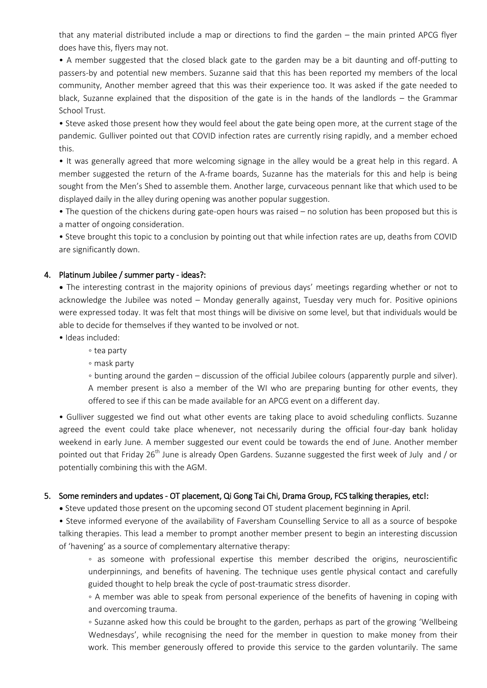that any material distributed include a map or directions to find the garden – the main printed APCG flyer does have this, flyers may not.

• A member suggested that the closed black gate to the garden may be a bit daunting and off-putting to passers-by and potential new members. Suzanne said that this has been reported my members of the local community, Another member agreed that this was their experience too. It was asked if the gate needed to black, Suzanne explained that the disposition of the gate is in the hands of the landlords – the Grammar School Trust.

• Steve asked those present how they would feel about the gate being open more, at the current stage of the pandemic. Gulliver pointed out that COVID infection rates are currently rising rapidly, and a member echoed this.

• It was generally agreed that more welcoming signage in the alley would be a great help in this regard. A member suggested the return of the A-frame boards, Suzanne has the materials for this and help is being sought from the Men's Shed to assemble them. Another large, curvaceous pennant like that which used to be displayed daily in the alley during opening was another popular suggestion.

• The question of the chickens during gate-open hours was raised – no solution has been proposed but this is a matter of ongoing consideration.

• Steve brought this topic to a conclusion by pointing out that while infection rates are up, deaths from COVID are significantly down.

### 4. Platinum Jubilee / summer party - ideas?:

• The interesting contrast in the majority opinions of previous days' meetings regarding whether or not to acknowledge the Jubilee was noted – Monday generally against, Tuesday very much for. Positive opinions were expressed today. It was felt that most things will be divisive on some level, but that individuals would be able to decide for themselves if they wanted to be involved or not.

• Ideas included:

- tea party
- mask party

◦ bunting around the garden – discussion of the official Jubilee colours (apparently purple and silver). A member present is also a member of the WI who are preparing bunting for other events, they offered to see if this can be made available for an APCG event on a different day.

• Gulliver suggested we find out what other events are taking place to avoid scheduling conflicts. Suzanne agreed the event could take place whenever, not necessarily during the official four-day bank holiday weekend in early June. A member suggested our event could be towards the end of June. Another member pointed out that Friday 26<sup>th</sup> June is already Open Gardens. Suzanne suggested the first week of July and / or potentially combining this with the AGM.

#### 5. Some reminders and updates - OT placement, Qi Gong Tai Chi, Drama Group, FCS talking therapies, etc!:

• Steve updated those present on the upcoming second OT student placement beginning in April.

• Steve informed everyone of the availability of Faversham Counselling Service to all as a source of bespoke talking therapies. This lead a member to prompt another member present to begin an interesting discussion of 'havening' as a source of complementary alternative therapy:

◦ as someone with professional expertise this member described the origins, neuroscientific underpinnings, and benefits of havening. The technique uses gentle physical contact and carefully guided thought to help break the cycle of post-traumatic stress disorder.

◦ A member was able to speak from personal experience of the benefits of havening in coping with and overcoming trauma.

◦ Suzanne asked how this could be brought to the garden, perhaps as part of the growing 'Wellbeing Wednesdays', while recognising the need for the member in question to make money from their work. This member generously offered to provide this service to the garden voluntarily. The same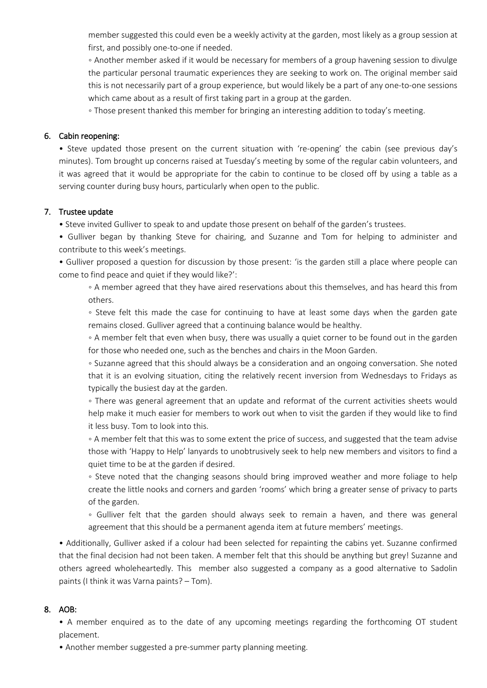member suggested this could even be a weekly activity at the garden, most likely as a group session at first, and possibly one-to-one if needed.

◦ Another member asked if it would be necessary for members of a group havening session to divulge the particular personal traumatic experiences they are seeking to work on. The original member said this is not necessarily part of a group experience, but would likely be a part of any one-to-one sessions which came about as a result of first taking part in a group at the garden.

◦ Those present thanked this member for bringing an interesting addition to today's meeting.

### 6. Cabin reopening:

• Steve updated those present on the current situation with 're-opening' the cabin (see previous day's minutes). Tom brought up concerns raised at Tuesday's meeting by some of the regular cabin volunteers, and it was agreed that it would be appropriate for the cabin to continue to be closed off by using a table as a serving counter during busy hours, particularly when open to the public.

## 7. Trustee update

• Steve invited Gulliver to speak to and update those present on behalf of the garden's trustees.

• Gulliver began by thanking Steve for chairing, and Suzanne and Tom for helping to administer and contribute to this week's meetings.

• Gulliver proposed a question for discussion by those present: 'is the garden still a place where people can come to find peace and quiet if they would like?':

◦ A member agreed that they have aired reservations about this themselves, and has heard this from others.

◦ Steve felt this made the case for continuing to have at least some days when the garden gate remains closed. Gulliver agreed that a continuing balance would be healthy.

◦ A member felt that even when busy, there was usually a quiet corner to be found out in the garden for those who needed one, such as the benches and chairs in the Moon Garden.

◦ Suzanne agreed that this should always be a consideration and an ongoing conversation. She noted that it is an evolving situation, citing the relatively recent inversion from Wednesdays to Fridays as typically the busiest day at the garden.

◦ There was general agreement that an update and reformat of the current activities sheets would help make it much easier for members to work out when to visit the garden if they would like to find it less busy. Tom to look into this.

◦ A member felt that this was to some extent the price of success, and suggested that the team advise those with 'Happy to Help' lanyards to unobtrusively seek to help new members and visitors to find a quiet time to be at the garden if desired.

◦ Steve noted that the changing seasons should bring improved weather and more foliage to help create the little nooks and corners and garden 'rooms' which bring a greater sense of privacy to parts of the garden.

◦ Gulliver felt that the garden should always seek to remain a haven, and there was general agreement that this should be a permanent agenda item at future members' meetings.

• Additionally, Gulliver asked if a colour had been selected for repainting the cabins yet. Suzanne confirmed that the final decision had not been taken. A member felt that this should be anything but grey! Suzanne and others agreed wholeheartedly. This member also suggested a company as a good alternative to Sadolin paints (I think it was Varna paints? – Tom).

### 8. AOB:

• A member enquired as to the date of any upcoming meetings regarding the forthcoming OT student placement.

• Another member suggested a pre-summer party planning meeting.